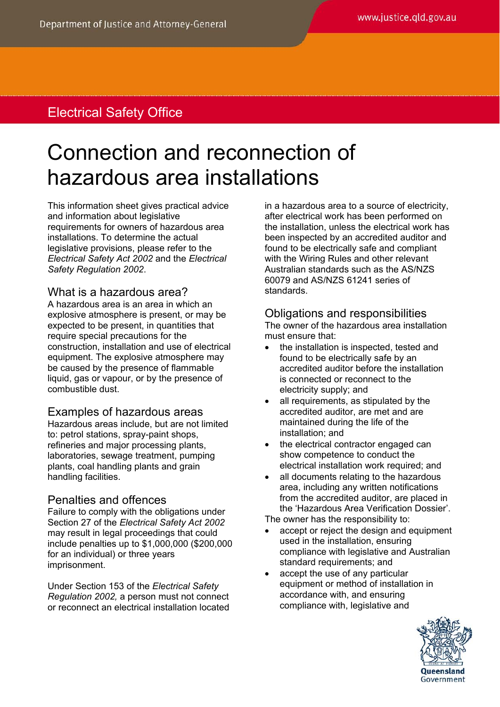# Electrical Safety Office

# Connection and reconnection of hazardous area installations

This information sheet gives practical advice and information about legislative requirements for owners of hazardous area installations. To determine the actual legislative provisions, please refer to the *Electrical Safety Act 2002* and the *Electrical Safety Regulation 2002*.

#### What is a hazardous area?

A hazardous area is an area in which an explosive atmosphere is present, or may be expected to be present, in quantities that require special precautions for the construction, installation and use of electrical equipment. The explosive atmosphere may be caused by the presence of flammable liquid, gas or vapour, or by the presence of combustible dust.

# Examples of hazardous areas

Hazardous areas include, but are not limited to: petrol stations, spray-paint shops, refineries and major processing plants, laboratories, sewage treatment, pumping plants, coal handling plants and grain handling facilities.

# Penalties and offences

Failure to comply with the obligations under Section 27 of the *Electrical Safety Act 2002*  may result in legal proceedings that could include penalties up to \$1,000,000 (\$200,000 for an individual) or three years imprisonment.

Under Section 153 of the *Electrical Safety Regulation 2002,* a person must not connect or reconnect an electrical installation located in a hazardous area to a source of electricity, after electrical work has been performed on the installation, unless the electrical work has been inspected by an accredited auditor and found to be electrically safe and compliant with the Wiring Rules and other relevant Australian standards such as the AS/NZS 60079 and AS/NZS 61241 series of standards.

# Obligations and responsibilities

The owner of the hazardous area installation must ensure that:

- the installation is inspected, tested and found to be electrically safe by an accredited auditor before the installation is connected or reconnect to the electricity supply; and
- all requirements, as stipulated by the accredited auditor, are met and are maintained during the life of the installation; and
- the electrical contractor engaged can show competence to conduct the electrical installation work required; and
- all documents relating to the hazardous area, including any written notifications from the accredited auditor, are placed in the 'Hazardous Area Verification Dossier'.

The owner has the responsibility to:

- accept or reject the design and equipment used in the installation, ensuring compliance with legislative and Australian standard requirements; and
- accept the use of any particular equipment or method of installation in accordance with, and ensuring compliance with, legislative and